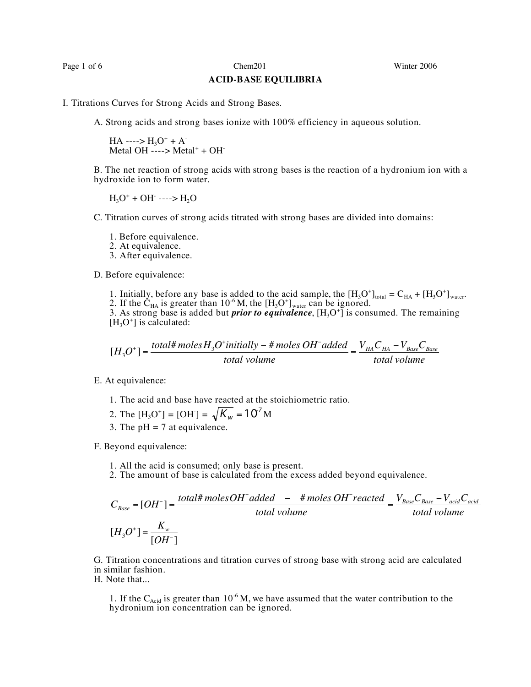Page 1 of 6 Chem201 Chem201 Winter 2006

## **ACID-BASE EQUILIBRIA**

I. Titrations Curves for Strong Acids and Strong Bases.

A. Strong acids and strong bases ionize with 100% efficiency in aqueous solution.

 $HA$  ---->  $H_3O^+ + A^-$ Metal OH  $---$ > Metal<sup>+</sup> + OH<sup>-</sup>

B. The net reaction of strong acids with strong bases is the reaction of a hydronium ion with a hydroxide ion to form water.

 $H_3O^+$  + OH ---->  $H_2O$ 

C. Titration curves of strong acids titrated with strong bases are divided into domains:

- 1. Before equivalence. 2. At equivalence.
- 
- 3. After equivalence.

D. Before equivalence:

- 1. Initially, before any base is added to the acid sample, the  $[H_3O^+]_{total} = C_{HA} + [H_3O^+]_{water}$ .
- 2. If the  $\dot{C}_{HA}$  is greater than 10<sup>-6</sup> M, the  $[H_3O^+]_{water}$  can be ignored.

3. As strong base is added but *prior to equivalence*, [H3O<sup>+</sup> ] is consumed. The remaining  $[H_3O^+]$  is calculated:

$$
[H_3O^+] = \frac{total \# moles H_3O^+ initially - \# moles OH^- added}{total volume} = \frac{V_{HA}C_{HA} - V_{Base}C_{Base}}{total volume}
$$

E. At equivalence:

- 1. The acid and base have reacted at the stoichiometric ratio.
- 2. The  $[H_3O^+] = [OH^-] = \sqrt{K_w} = 10^7 M$
- 3. The  $pH = 7$  at equivalence.

F. Beyond equivalence:

- 
- 1. All the acid is consumed; only base is present. 2. The amount of base is calculated from the excess added beyond equivalence.

$$
C_{Base} = [OH^-] = \frac{total \# molesOH^- added - \# molesOH^- reccted}{total volume} = \frac{V_{Base}C_{Base} - V_{acid}C_{acid}}{total volume}
$$

$$
[H_3O^+] = \frac{K_w}{[OH^-]}
$$

G. Titration concentrations and titration curves of strong base with strong acid are calculated in similar fashion.

H. Note that...

1. If the C<sub>Acid</sub> is greater than 10<sup>-6</sup> M, we have assumed that the water contribution to the hydronium ion concentration can be ignored.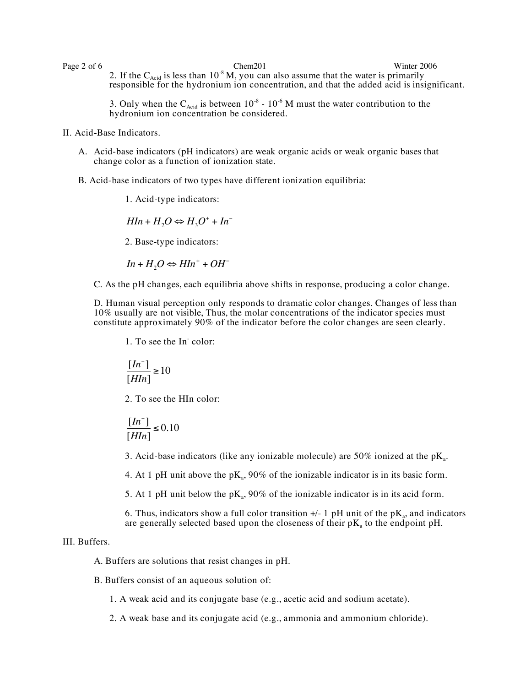Page 2 of 6 Chem201 Chem201 Winter 2006 2. If the  $C_{\text{Acid}}$  is less than 10<sup>-8</sup> M, you can also assume that the water is primarily responsible for the hydronium ion concentration, and that the added acid is insignificant.

> 3. Only when the  $C_{\text{Acid}}$  is between  $10^{-8}$  -  $10^{-6}$  M must the water contribution to the hydronium ion concentration be considered.

II. Acid-Base Indicators.

- A. Acid-base indicators (pH indicators) are weak organic acids or weak organic bases that change color as a function of ionization state.
- B. Acid-base indicators of two types have different ionization equilibria:

1. Acid-type indicators:

 $HIn + H<sub>2</sub>O \Leftrightarrow H<sub>3</sub>O<sup>+</sup> + In<sup>-</sup>$ 

2. Base-type indicators:

 $In + H<sub>2</sub>O \Leftrightarrow HIn^{+} + OH^{-}$ 

C. As the pH changes, each equilibria above shifts in response, producing a color change.

D. Human visual perception only responds to dramatic color changes. Changes of less than 10% usually are not visible, Thus, the molar concentrations of the indicator species must constitute approximately 90% of the indicator before the color changes are seen clearly.

1. To see the In- color:

$$
\frac{[In^-]}{[HIn]}\geq 10
$$

2. To see the HIn color:

$$
\frac{[In^-]}{[HIn]} \le 0.10
$$

3. Acid-base indicators (like any ionizable molecule) are  $50\%$  ionized at the pK<sub>a</sub>.

4. At 1 pH unit above the  $pK_a$ , 90% of the ionizable indicator is in its basic form.

5. At 1 pH unit below the p $K_a$ , 90% of the ionizable indicator is in its acid form.

6. Thus, indicators show a full color transition  $+/-1$  pH unit of the pK<sub>a</sub>, and indicators are generally selected based upon the closeness of their  $pK_a$  to the endpoint  $pH$ .

## III. Buffers.

A. Buffers are solutions that resist changes in pH.

B. Buffers consist of an aqueous solution of:

1. A weak acid and its conjugate base (e.g., acetic acid and sodium acetate).

2. A weak base and its conjugate acid (e.g., ammonia and ammonium chloride).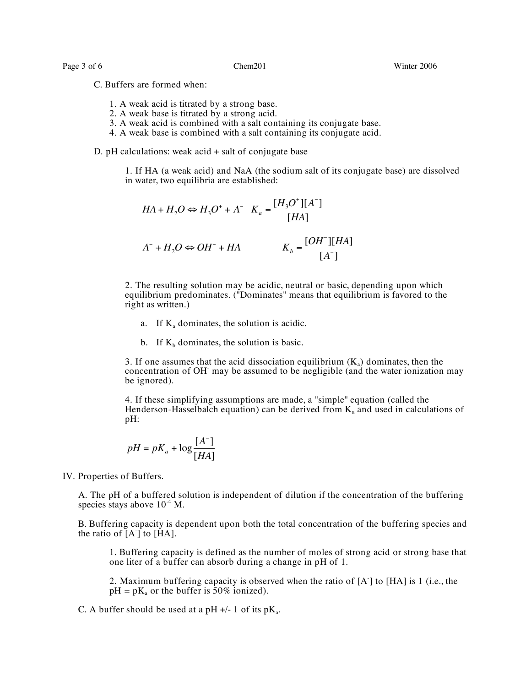Page 3 of 6 Chem201 Chem201 Winter 2006

C. Buffers are formed when:

- 1. A weak acid is titrated by a strong base.
- 2. A weak base is titrated by a strong acid.
- 3. A weak acid is combined with a salt containing its conjugate base.
- 4. A weak base is combined with a salt containing its conjugate acid.

D. pH calculations: weak acid + salt of conjugate base

1. If HA (a weak acid) and NaA (the sodium salt of its conjugate base) are dissolved in water, two equilibria are established:

$$
HA + H_2O \Leftrightarrow H_3O^+ + A^- \quad K_a = \frac{[H_3O^+][A^-]}{[HA]}
$$

$$
A^- + H_2O \Leftrightarrow OH^- + HA \qquad K_b = \frac{[OH^-][HA]}{[A^-]}
$$

2. The resulting solution may be acidic, neutral or basic, depending upon which equilibrium predominates. ("Dominates" means that equilibrium is favored to the right as written.)

- a. If  $K_a$  dominates, the solution is acidic.
- b. If  $K_b$  dominates, the solution is basic.

3. If one assumes that the acid dissociation equilibrium  $(K_a)$  dominates, then the concentration of OH- may be assumed to be negligible (and the water ionization may be ignored).

4. If these simplifying assumptions are made, a "simple" equation (called the Henderson-Hasselbalch equation) can be derived from  $K_a$  and used in calculations of pH:

$$
pH = pK_a + \log \frac{[A^-]}{[HA]}
$$

IV. Properties of Buffers.

.<br>ו A. The pH of a buffered solution is independent of dilution if the concentration of the buffering species stays above  $10^{-4}$  M.

B. Buffering capacity is dependent upon both the total concentration of the buffering species and the ratio of  $[A^{\dagger}]$  to  $[\text{HA}]$ .

1. Buffering capacity is defined as the number of moles of strong acid or strong base that one liter of a buffer can absorb during a change in pH of 1.

2. Maximum buffering capacity is observed when the ratio of [A- ] to [HA] is 1 (i.e., the  $pH = pK_a$  or the buffer is 50% ionized).

C. A buffer should be used at a pH  $+/- 1$  of its pK<sub>a</sub>.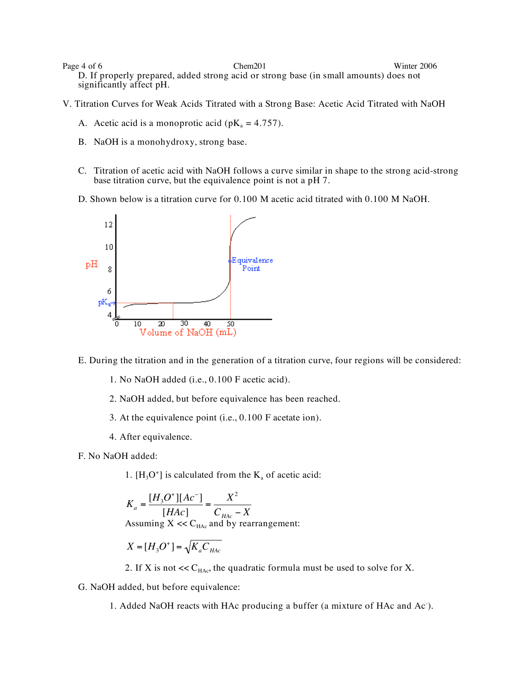Page 4 of 6 Chem201 Chem201 Winter 2006 D. If properly prepared, added strong acid or strong base (in small amounts) does not significantly affect pH.

- V. Titration Curves for Weak Acids Titrated with a Strong Base: Acetic Acid Titrated with NaOH
	- A. Acetic acid is a monoprotic acid ( $pK_a = 4.757$ ).
	- B. NaOH is a monohydroxy, strong base.
	- C. Titration of acetic acid with NaOH follows a curve similar in shape to the strong acid-strong base titration curve, but the equivalence point is not a pH 7.
	- D. Shown below is a titration curve for 0.100 M acetic acid titrated with 0.100 M NaOH.



E. During the titration and in the generation of a titration curve, four regions will be considered:

- 1. No NaOH added (i.e., 0.100 F acetic acid).
- 2. NaOH added, but before equivalence has been reached.
- 3. At the equivalence point (i.e., 0.100 F acetate ion).
- 4. After equivalence.
- F. No NaOH added:
	- 1.  $[H_3O^+]$  is calculated from the  $K_a$  of acetic acid:

$$
K_a = \frac{[H_3O^+][Ac^-]}{[HAc]} = \frac{X^2}{C_{HAc} - X}
$$

Assuming  $X \ll C_{HAc}$  and by rearrangement:

$$
X=[H_3O^+]=\sqrt{K_aC_{HAc}}
$$

- 2. If X is not  $<<$  C<sub>HAc</sub>, the quadratic formula must be used to solve for X.
- ֖֖֖֖֖֖֖֖֖֪֪֦֪֪֦֖֧֪֪֪֦֖֧֪֦֖֧֪֪֦֖֧֪֪֪֪֦֖֧֪֪֪֪֪֪֪֪֪֪֦֖֧֖֪֪֪֪֪֪֪֪֪֪֪֪֪֪֪֪֦֖֧֪֪֪֪֪֪֪֪֪֪֦֚֚֚֚֚֚֚֚֚֚֚֚֚֚֚֚֚֚֚֬֝֝֝֟֓֝֝֟֓֝֝֝֝֝֞֝ G. NaOH added, but before equivalence:

1. Added NaOH reacts with HAc producing a buffer (a mixture of HAc and Ac- ).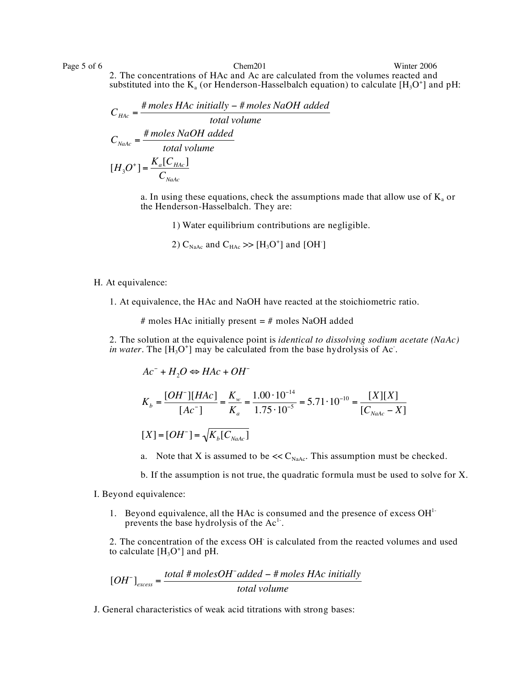Page 5 of 6 Chem201 Chem201 Winter 2006 2. The concentrations of HAc and Ac are calculated from the volumes reacted and substituted into the  $K_a$  (or Henderson-Hasselbalch equation) to calculate [H<sub>3</sub>O<sup>+</sup>] and pH:

$$
C_{HAc} = \frac{\# moles \, HAc \, initially - \# moles \, NaOH \, added \, total \, volume}{\, total \, volume}
$$
\n
$$
C_{NaAc} = \frac{\# moles \, NaOH \, added}{\, total \, volume}
$$
\n
$$
[H_3O^+] = \frac{K_a[C_{HAc}]}{C_{NaAc}}
$$

a. In using these equations, check the assumptions made that allow use of  $K_a$  or the Henderson-Hasselbalch. They are:

1) Water equilibrium contributions are negligible.

2)  $C_{\text{NaAc}}$  and  $C_{\text{HAc}} \gg [H_3O^+]$  and  $[OH^-]$ 

## H. At equivalence:

1. At equivalence, the HAc and NaOH have reacted at the stoichiometric ratio.

# moles HAc initially present  $=$  # moles NaOH added

2. The solution at the equivalence point is *identical to dissolving sodium acetate (NaAc) in water*. The  $[H_3O^+]$  may be calculated from the base hydrolysis of Ac.

 $Ac^- + H_2O \Leftrightarrow HAc + OH^ K_b =$ [*OH*! ][*HAc*] [*Ac*! ]  $=\frac{K_w}{K}$  $K_a$  $=\frac{1.00 \cdot 10^{-14}}{1.75 \cdot 10^{-5}}$  $1.75 \cdot 10^{-5}$  $= 5.71 \cdot 10^{-10} =$ [*X*][*X*]  $[C_{\textit{NaAc}} - X]$  $[X] = [OH^-] = \sqrt{K_b[C_{NaAc}]}$ 

a. Note that X is assumed to be  $<< C_{\text{NaAc}}$ . This assumption must be checked.

b. If the assumption is not true, the quadratic formula must be used to solve for X.

- I. Beyond equivalence:
	- 1. Beyond equivalence, all the HAc is consumed and the presence of excess OH<sup>1-</sup> prevents the base hydrolysis of the  $Ac<sup>1</sup>$ .

2. The concentration of the excess OH- is calculated from the reacted volumes and used to calculate  $[H_3O^+]$  and pH.

$$
[OH^-]_{excess} = \frac{total \# molesOH^- added - \# moles \, HAc \, initially}{total \, volume}
$$

J. General characteristics of weak acid titrations with strong bases: